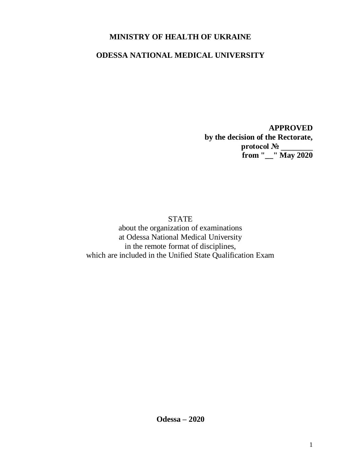## **MINISTRY OF HEALTH OF UKRAINE**

## **ODESSA NATIONAL MEDICAL UNIVERSITY**

**APPROVED by the decision of the Rectorate, protocol № \_\_\_\_\_\_\_\_ from "\_\_" May 2020**

**STATE** about the organization of examinations at Odessa National Medical University in the remote format of disciplines, which are included in the Unified State Qualification Exam

**Odessa – 2020**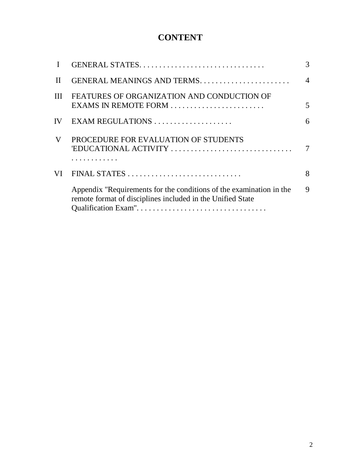# **CONTENT**

|              | GENERAL STATES                                                                                                                    | 3              |
|--------------|-----------------------------------------------------------------------------------------------------------------------------------|----------------|
| $\mathbf{H}$ | GENERAL MEANINGS AND TERMS                                                                                                        | $\overline{4}$ |
| III          | FEATURES OF ORGANIZATION AND CONDUCTION OF<br>EXAMS IN REMOTE FORM                                                                | 5              |
| IV           |                                                                                                                                   | 6              |
| V            | PROCEDURE FOR EVALUATION OF STUDENTS<br>'EDUCATIONAL ACTIVITY                                                                     | 7              |
| VI           |                                                                                                                                   | 8              |
|              | Appendix "Requirements for the conditions of the examination in the<br>remote format of disciplines included in the Unified State | 9              |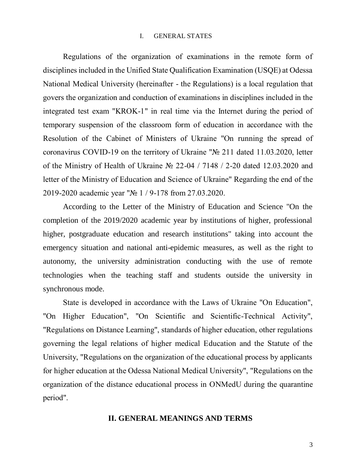#### I. GENERAL STATES

Regulations of the organization of examinations in the remote form of disciplines included in the Unified State Qualification Examination (USQE) at Odessa National Medical University (hereinafter - the Regulations) is a local regulation that govers the organization and conduction of examinations in disciplines included in the integrated test exam "KROK-1" in real time via the Internet during the period of temporary suspension of the classroom form of education in accordance with the Resolution of the Cabinet of Ministers of Ukraine "On running the spread of coronavirus COVID-19 on the territory of Ukraine "№ 211 dated 11.03.2020, letter of the Ministry of Health of Ukraine № 22-04 / 7148 / 2-20 dated 12.03.2020 and letter of the Ministry of Education and Science of Ukraine" Regarding the end of the 2019-2020 academic year "№ 1 / 9-178 from 27.03.2020.

According to the Letter of the Ministry of Education and Science "On the completion of the 2019/2020 academic year by institutions of higher, professional higher, postgraduate education and research institutions" taking into account the emergency situation and national anti-epidemic measures, as well as the right to autonomy, the university administration conducting with the use of remote technologies when the teaching staff and students outside the university in synchronous mode.

State is developed in accordance with the Laws of Ukraine "On Education", "On Higher Education", "On Scientific and Scientific-Technical Activity", "Regulations on Distance Learning", standards of higher education, other regulations governing the legal relations of higher medical Education and the Statute of the University, "Regulations on the organization of the educational process by applicants for higher education at the Odessa National Medical University", "Regulations on the organization of the distance educational process in ONMedU during the quarantine period".

#### **ІІ. GENERAL MEANINGS AND TERMS**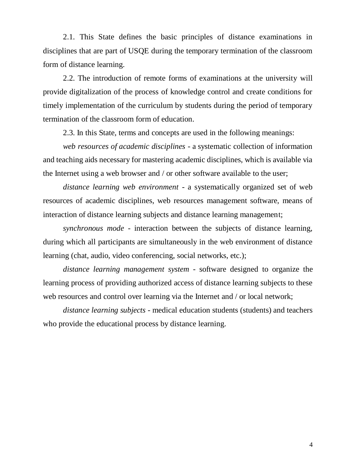2.1. This State defines the basic principles of distance examinations in disciplines that are part of USQE during the temporary termination of the classroom form of distance learning.

2.2. The introduction of remote forms of examinations at the university will provide digitalization of the process of knowledge control and create conditions for timely implementation of the curriculum by students during the period of temporary termination of the classroom form of education.

2.3. In this State, terms and concepts are used in the following meanings:

*web resources of academic disciplines* - a systematic collection of information and teaching aids necessary for mastering academic disciplines, which is available via the Internet using a web browser and / or other software available to the user;

*distance learning web environment* - a systematically organized set of web resources of academic disciplines, web resources management software, means of interaction of distance learning subjects and distance learning management;

*synchronous mode* - interaction between the subjects of distance learning, during which all participants are simultaneously in the web environment of distance learning (chat, audio, video conferencing, social networks, etc.);

*distance learning management system* - software designed to organize the learning process of providing authorized access of distance learning subjects to these web resources and control over learning via the Internet and / or local network;

*distance learning subjects* - medical education students (students) and teachers who provide the educational process by distance learning.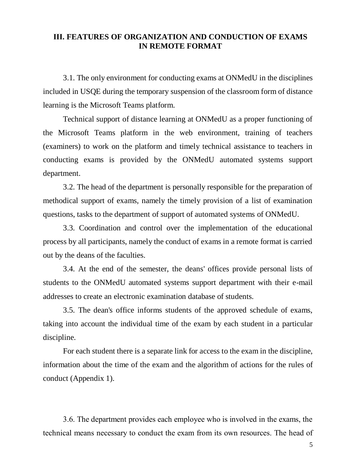#### **ІІІ. FEATURES OF ORGANIZATION AND CONDUCTION OF EXAMS IN REMOTE FORMAT**

3.1. The only environment for conducting exams at ONMedU in the disciplines included in USQE during the temporary suspension of the classroom form of distance learning is the Microsoft Teams platform.

Technical support of distance learning at ONMedU as a proper functioning of the Microsoft Teams platform in the web environment, training of teachers (examiners) to work on the platform and timely technical assistance to teachers in conducting exams is provided by the ONMedU automated systems support department.

3.2. The head of the department is personally responsible for the preparation of methodical support of exams, namely the timely provision of a list of examination questions, tasks to the department of support of automated systems of ONMedU.

3.3. Coordination and control over the implementation of the educational process by all participants, namely the conduct of exams in a remote format is carried out by the deans of the faculties.

3.4. At the end of the semester, the deans' offices provide personal lists of students to the ONMedU automated systems support department with their e-mail addresses to create an electronic examination database of students.

3.5. The dean's office informs students of the approved schedule of exams, taking into account the individual time of the exam by each student in a particular discipline.

For each student there is a separate link for access to the exam in the discipline, information about the time of the exam and the algorithm of actions for the rules of conduct (Appendix 1).

3.6. The department provides each employee who is involved in the exams, the technical means necessary to conduct the exam from its own resources. The head of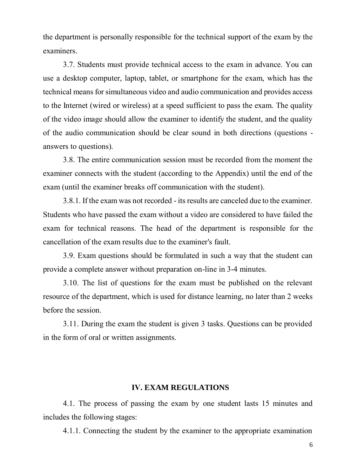the department is personally responsible for the technical support of the exam by the examiners.

3.7. Students must provide technical access to the exam in advance. You can use a desktop computer, laptop, tablet, or smartphone for the exam, which has the technical means for simultaneous video and audio communication and provides access to the Internet (wired or wireless) at a speed sufficient to pass the exam. The quality of the video image should allow the examiner to identify the student, and the quality of the audio communication should be clear sound in both directions (questions answers to questions).

3.8. The entire communication session must be recorded from the moment the examiner connects with the student (according to the Appendix) until the end of the exam (until the examiner breaks off communication with the student).

3.8.1. If the exam was not recorded - its results are canceled due to the examiner. Students who have passed the exam without a video are considered to have failed the exam for technical reasons. The head of the department is responsible for the cancellation of the exam results due to the examiner's fault.

3.9. Exam questions should be formulated in such a way that the student can provide a complete answer without preparation on-line in 3-4 minutes.

3.10. The list of questions for the exam must be published on the relevant resource of the department, which is used for distance learning, no later than 2 weeks before the session.

3.11. During the exam the student is given 3 tasks. Questions can be provided in the form of oral or written assignments.

#### **ІV. EXAM REGULATIONS**

4.1. The process of passing the exam by one student lasts 15 minutes and includes the following stages:

4.1.1. Connecting the student by the examiner to the appropriate examination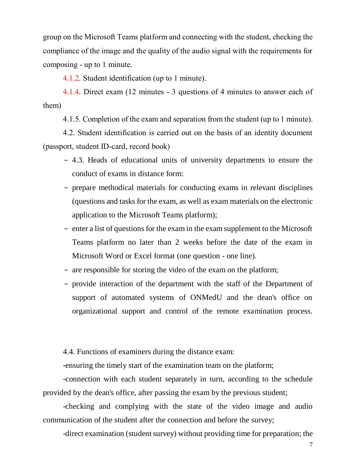group on the Microsoft Teams platform and connecting with the student, checking the compliance of the image and the quality of the audio signal with the requirements for composing - up to 1 minute.

4.1.2. Student identification (up to 1 minute).

4.1.4. Direct exam (12 minutes - 3 questions of 4 minutes to answer each of them)

4.1.5. Completion of the exam and separation from the student (up to 1 minute).

4.2. Student identification is carried out on the basis of an identity document (passport, student ID-card, record book)

- − 4.3. Heads of educational units of university departments to ensure the conduct of exams in distance form:
- − prepare methodical materials for conducting exams in relevant disciplines (questions and tasks for the exam, as well as exam materials on the electronic application to the Microsoft Teams platform);
- − enter a list of questions for the exam in the exam supplement to the Microsoft Teams platform no later than 2 weeks before the date of the exam in Microsoft Word or Excel format (one question - one line).
- − are responsible for storing the video of the exam on the platform;
- − provide interaction of the department with the staff of the Department of support of automated systems of ONMedU and the dean's office on organizational support and control of the remote examination process.

4.4. Functions of examiners during the distance exam:

-ensuring the timely start of the examination team on the platform;

-connection with each student separately in turn, according to the schedule provided by the dean's office, after passing the exam by the previous student;

-checking and complying with the state of the video image and audio communication of the student after the connection and before the survey;

-direct examination (student survey) without providing time for preparation; the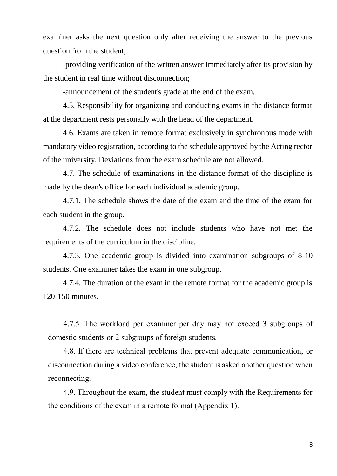examiner asks the next question only after receiving the answer to the previous question from the student;

-providing verification of the written answer immediately after its provision by the student in real time without disconnection;

-announcement of the student's grade at the end of the exam.

4.5. Responsibility for organizing and conducting exams in the distance format at the department rests personally with the head of the department.

4.6. Exams are taken in remote format exclusively in synchronous mode with mandatory video registration, according to the schedule approved by the Acting rector of the university. Deviations from the exam schedule are not allowed.

4.7. The schedule of examinations in the distance format of the discipline is made by the dean's office for each individual academic group.

4.7.1. The schedule shows the date of the exam and the time of the exam for each student in the group.

4.7.2. The schedule does not include students who have not met the requirements of the curriculum in the discipline.

4.7.3. One academic group is divided into examination subgroups of 8-10 students. One examiner takes the exam in one subgroup.

4.7.4. The duration of the exam in the remote format for the academic group is 120-150 minutes.

4.7.5. The workload per examiner per day may not exceed 3 subgroups of domestic students or 2 subgroups of foreign students.

4.8. If there are technical problems that prevent adequate communication, or disconnection during a video conference, the student is asked another question when reconnecting.

4.9. Throughout the exam, the student must comply with the Requirements for the conditions of the exam in a remote format (Appendix 1).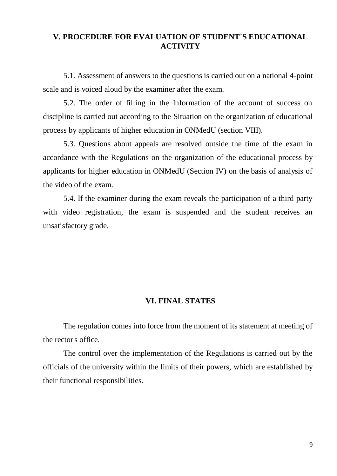#### **V. PROCEDURE FOR EVALUATION OF STUDENT`S EDUCATIONAL ACTIVITY**

5.1. Assessment of answers to the questions is carried out on a national 4-point scale and is voiced aloud by the examiner after the exam.

5.2. The order of filling in the Information of the account of success on discipline is carried out according to the Situation on the organization of educational process by applicants of higher education in ONMedU (section VIII).

5.3. Questions about appeals are resolved outside the time of the exam in accordance with the Regulations on the organization of the educational process by applicants for higher education in ONMedU (Section IV) on the basis of analysis of the video of the exam.

5.4. If the examiner during the exam reveals the participation of a third party with video registration, the exam is suspended and the student receives an unsatisfactory grade.

#### **VI. FINAL STATES**

The regulation comes into force from the moment of its statement at meeting of the rector's office.

The control over the implementation of the Regulations is carried out by the officials of the university within the limits of their powers, which are established by their functional responsibilities.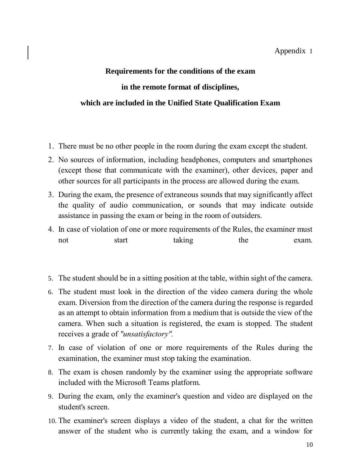# **Requirements for the conditions of the exam in the remote format of disciplines, which are included in the Unified State Qualification Exam**

- 1. There must be no other people in the room during the exam except the student.
- 2. No sources of information, including headphones, computers and smartphones (except those that communicate with the examiner), other devices, paper and other sources for all participants in the process are allowed during the exam.
- 3. During the exam, the presence of extraneous sounds that may significantly affect the quality of audio communication, or sounds that may indicate outside assistance in passing the exam or being in the room of outsiders.
- 4. In case of violation of one or more requirements of the Rules, the examiner must not start taking the exam.
- 5. The student should be in a sitting position at the table, within sight of the camera.
- 6. The student must look in the direction of the video camera during the whole exam. Diversion from the direction of the camera during the response is regarded as an attempt to obtain information from a medium that is outside the view of the camera. When such a situation is registered, the exam is stopped. The student receives a grade of *"unsatisfactory".*
- 7. In case of violation of one or more requirements of the Rules during the examination, the examiner must stop taking the examination.
- 8. The exam is chosen randomly by the examiner using the appropriate software included with the Microsoft Teams platform.
- 9. During the exam, only the examiner's question and video are displayed on the student's screen.
- 10. The examiner's screen displays a video of the student, a chat for the written answer of the student who is currently taking the exam, and a window for